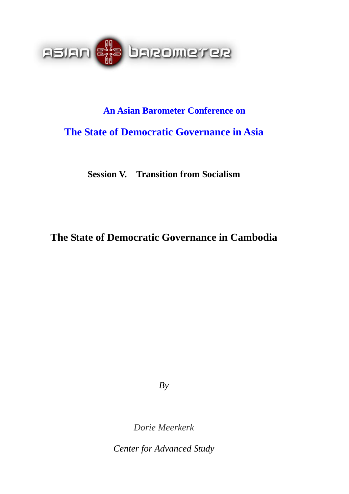

# **An Asian Barometer Conference on The State of Democratic Governance in Asia**

**Session V. Transition from Socialism** 

# **The State of Democratic Governance in Cambodia**

*By* 

*Dorie Meerkerk* 

*Center for Advanced Study*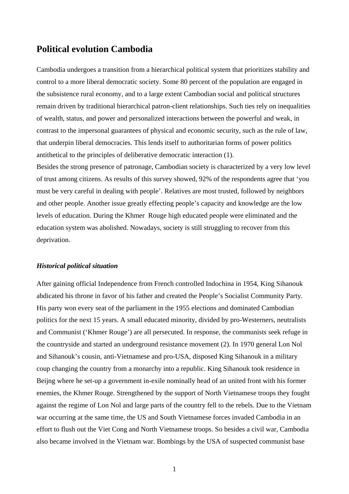## **Political evolution Cambodia**

Cambodia undergoes a transition from a hierarchical political system that prioritizes stability and control to a more liberal democratic society. Some 80 percent of the population are engaged in the subsistence rural economy, and to a large extent Cambodian social and political structures remain driven by traditional hierarchical patron-client relationships. Such ties rely on inequalities of wealth, status, and power and personalized interactions between the powerful and weak, in contrast to the impersonal guarantees of physical and economic security, such as the rule of law, that underpin liberal democracies. This lends itself to authoritarian forms of power politics antithetical to the principles of deliberative democratic interaction (1).

Besides the strong presence of patronage, Cambodian society is characterized by a very low level of trust among citizens. As results of this survey showed, 92% of the respondents agree that 'you must be very careful in dealing with people'. Relatives are most trusted, followed by neighbors and other people. Another issue greatly effecting people's capacity and knowledge are the low levels of education. During the Khmer Rouge high educated people were eliminated and the education system was abolished. Nowadays, society is still struggling to recover from this deprivation.

#### *Historical political situation*

After gaining official Independence from French controlled Indochina in 1954, King Sihanouk abdicated his throne in favor of his father and created the People's Socialist Community Party. His party won every seat of the parliament in the 1955 elections and dominated Cambodian politics for the next 15 years. A small educated minority, divided by pro-Westerners, neutralists and Communist ('Khmer Rouge') are all persecuted. In response, the communists seek refuge in the countryside and started an underground resistance movement (2). In 1970 general Lon Nol and Sihanouk's cousin, anti-Vietnamese and pro-USA, disposed King Sihanouk in a military coup changing the country from a monarchy into a republic. King Sihanouk took residence in Beijng where he set-up a government in-exile nominally head of an united front with his former enemies, the Khmer Rouge. Strengthened by the support of North Vietnamese troops they fought against the regime of Lon Nol and large parts of the country fell to the rebels. Due to the Vietnam war occurring at the same time, the US and South Vietnamese forces invaded Cambodia in an effort to flush out the Viet Cong and North Vietnamese troops. So besides a civil war, Cambodia also became involved in the Vietnam war. Bombings by the USA of suspected communist base

1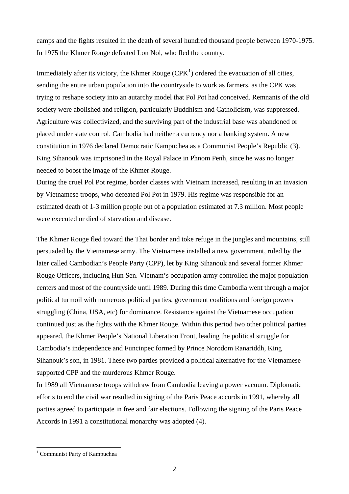camps and the fights resulted in the death of several hundred thousand people between 1970-1975. In 1975 the Khmer Rouge defeated Lon Nol, who fled the country.

Immediately after its victory, the Khmer Rouge  $(CPK<sup>1</sup>)$  $(CPK<sup>1</sup>)$  $(CPK<sup>1</sup>)$  ordered the evacuation of all cities, sending the entire urban population into the countryside to work as farmers, as the CPK was trying to reshape society into an autarchy model that Pol Pot had conceived. Remnants of the old society were abolished and religion, particularly [Buddhism](http://en.wikipedia.org/wiki/Buddhism) and [Catholicism](http://en.wikipedia.org/wiki/Roman_Catholic_Church), was suppressed. Agriculture was collectivized, and the surviving part of the industrial base was abandoned or placed under state control. Cambodia had neither a currency nor a banking system. A new constitution in 1976 declared Democratic Kampuchea as a Communist People's Republic (3). King Sihanouk was imprisoned in the Royal Palace in Phnom Penh, since he was no longer needed to boost the image of the Khmer Rouge.

During the cruel Pol Pot regime, border classes with Vietnam increased, resulting in an invasion by Vietnamese troops, who defeated Pol Pot in 1979. His regime was responsible for an estimated death of 1-3 million people out of a population estimated at 7.3 million. Most people were executed or died of starvation and disease.

The Khmer Rouge fled toward the Thai border and toke refuge in the jungles and mountains, still persuaded by the Vietnamese army. The Vietnamese installed a new government, ruled by the later called Cambodian's People Party (CPP), let by King Sihanouk and several former Khmer Rouge Officers, including Hun Sen. Vietnam's occupation army controlled the major population centers and most of the countryside until 1989. During this time Cambodia went through a major political turmoil with numerous political parties, government coalitions and foreign powers struggling (China, USA, etc) for dominance. Resistance against the Vietnamese occupation continued just as the fights with the Khmer Rouge. Within this period two other political parties appeared, the Khmer People's National Liberation Front, leading the political struggle for Cambodia's independence and Funcinpec formed by Prince Norodom Ranariddh, King Sihanouk's son, in 1981. These two parties provided a political alternative for the Vietnamese supported CPP and the murderous Khmer Rouge.

In 1989 all Vietnamese troops withdraw from Cambodia leaving a power vacuum. Diplomatic efforts to end the civil war resulted in signing of the Paris Peace accords in 1991, whereby all parties agreed to participate in free and fair elections. Following the signing of the Paris Peace Accords in 1991 a constitutional monarchy was adopted (4).

 $\overline{a}$ 

<span id="page-2-0"></span><sup>1</sup> Communist Party of Kampuchea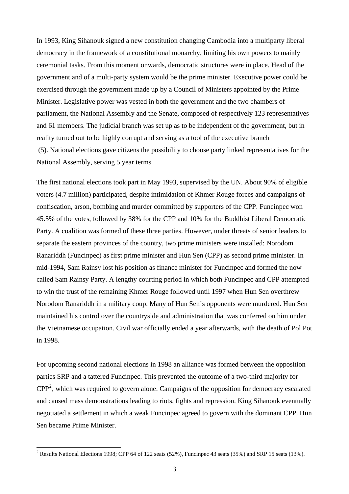In 1993, King Sihanouk signed a new constitution changing Cambodia into a multiparty liberal democracy in the framework of a constitutional monarchy, limiting his own powers to mainly ceremonial tasks. From this moment onwards, democratic structures were in place. Head of the government and of a multi-party system would be the prime minister. Executive power could be exercised through the government made up by a Council of Ministers appointed by the Prime Minister. Legislative power was vested in both the government and the two chambers of parliament, the National Assembly and the Senate, composed of respectively 123 representatives and 61 members. The judicial branch was set up as to be independent of the government, but in reality turned out to be highly corrupt and serving as a tool of the executive branch (5). National elections gave citizens the possibility to choose party linked representatives for the National Assembly, serving 5 year terms.

The first national elections took part in May 1993, supervised by the UN. About 90% of eligible voters (4.7 million) participated, despite intimidation of Khmer Rouge forces and campaigns of confiscation, arson, bombing and murder committed by supporters of the CPP. Funcinpec won 45.5% of the votes, followed by 38% for the CPP and 10% for the Buddhist Liberal Democratic Party. A coalition was formed of these three parties. However, under threats of senior leaders to separate the eastern provinces of the country, two prime ministers were installed: Norodom Ranariddh (Funcinpec) as first prime minister and Hun Sen (CPP) as second prime minister. In mid-1994, Sam Rainsy lost his position as finance minister for Funcinpec and formed the now called Sam Rainsy Party. A lengthy courting period in which both Funcinpec and CPP attempted to win the trust of the remaining Khmer Rouge followed until 1997 when Hun Sen overthrew Norodom Ranariddh in a military coup. Many of Hun Sen's opponents were murdered. Hun Sen maintained his control over the countryside and administration that was conferred on him under the Vietnamese occupation. Civil war officially ended a year afterwards, with the death of Pol Pot in 1998.

For upcoming second national elections in 1998 an alliance was formed between the opposition parties SRP and a tattered Funcinpec. This prevented the outcome of a two-third majority for  $\text{CPP}^2$  $\text{CPP}^2$ , which was required to govern alone. Campaigns of the opposition for democracy escalated and caused mass demonstrations leading to riots, fights and repression. King Sihanouk eventually negotiated a settlement in which a weak Funcinpec agreed to govern with the dominant CPP. Hun Sen became Prime Minister.

 $\overline{a}$ 

<span id="page-3-0"></span><sup>&</sup>lt;sup>2</sup> Results National Elections 1998; CPP 64 of 122 seats (52%), Funcinpec 43 seats (35%) and SRP 15 seats (13%).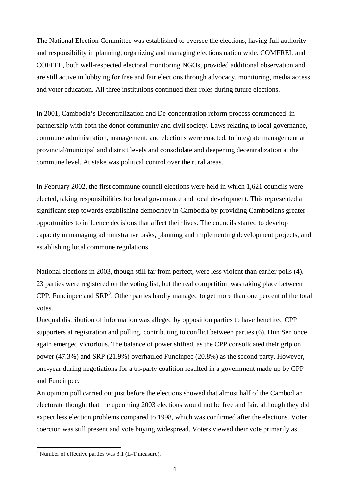The National Election Committee was established to oversee the elections, having full authority and responsibility in planning, organizing and managing elections nation wide. COMFREL and COFFEL, both well-respected electoral monitoring NGOs, provided additional observation and are still active in lobbying for free and fair elections through advocacy, monitoring, media access and voter education. All three institutions continued their roles during future elections.

In 2001, Cambodia's Decentralization and De-concentration reform process commenced in partnership with both the donor community and civil society. Laws relating to local governance, commune administration, management, and elections were enacted, to integrate management at provincial/municipal and district levels and consolidate and deepening decentralization at the commune level. At stake was political control over the rural areas.

In February 2002, the first commune council elections were held in which 1,621 councils were elected, taking responsibilities for local governance and local development. This represented a significant step towards establishing democracy in Cambodia by providing Cambodians greater opportunities to influence decisions that affect their lives. The councils started to develop capacity in managing administrative tasks, planning and implementing development projects, and establishing local commune regulations.

National elections in 2003, though still far from perfect, were less violent than earlier polls [\(4](http://www.mekong.net/cambodia/facts.htm)). 23 parties were registered on the voting list, but the real competition was taking place between CPP, Funcinpec and  $SRP<sup>3</sup>$  $SRP<sup>3</sup>$  $SRP<sup>3</sup>$ . Other parties hardly managed to get more than one percent of the total votes.

Unequal distribution of information was alleged by opposition parties to have benefited CPP supporters at registration and polling, contributing to conflict between parties (6). Hun Sen once again emerged victorious. The balance of power shifted, as the CPP consolidated their grip on power (47.3%) and SRP (21.9%) overhauled Funcinpec (20.8%) as the second party. However, one-year during negotiations for a tri-party coalition resulted in a government made up by CPP and Funcinpec.

An opinion poll carried out just before the elections showed that almost half of the Cambodian electorate thought that the upcoming 2003 elections would not be free and fair, although they did expect less election problems compared to 1998, which was confirmed after the elections. Voter coercion was still present and vote buying widespread. Voters viewed their vote primarily as

 $\overline{a}$ 

<span id="page-4-0"></span><sup>&</sup>lt;sup>3</sup> Number of effective parties was 3.1 (L-T measure).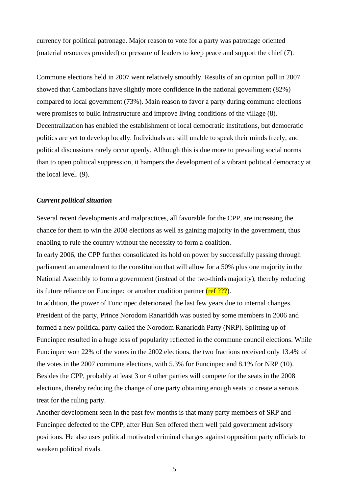currency for political patronage. Major reason to vote for a party was patronage oriented (material resources provided) or pressure of leaders to keep peace and support the chief (7).

Commune elections held in 2007 went relatively smoothly. Results of an opinion poll in 2007 showed that Cambodians have slightly more confidence in the national government (82%) compared to local government (73%). Main reason to favor a party during commune elections were promises to build infrastructure and improve living conditions of the village (8). Decentralization has enabled the establishment of local democratic institutions, but democratic politics are yet to develop locally. Individuals are still unable to speak their minds freely, and political discussions rarely occur openly. Although this is due more to prevailing social norms than to open political suppression, it hampers the development of a vibrant political democracy at the local level. (9).

#### *Current political situation*

Several recent developments and malpractices, all favorable for the CPP, are increasing the chance for them to win the 2008 elections as well as gaining majority in the government, thus enabling to rule the country without the necessity to form a coalition.

In early 2006, the CPP further consolidated its hold on power by successfully passing through parliament an amendment to the constitution that will allow for a 50% plus one majority in the National Assembly to form a government (instead of the two-thirds majority), thereby reducing its future reliance on Funcinpec or another coalition partner (ref ???).

In addition, the power of Funcinpec deteriorated the last few years due to internal changes. President of the party, Prince Norodom Ranariddh was ousted by some members in 2006 and formed a new political party called the Norodom Ranariddh Party (NRP). Splitting up of Funcinpec resulted in a huge loss of popularity reflected in the commune council elections. While Funcinpec won 22% of the votes in the 2002 elections, the two fractions received only 13.4% of the votes in the 2007 commune elections, with 5.3% for Funcinpec and 8.1% for NRP (10). Besides the CPP, probably at least 3 or 4 other parties will compete for the seats in the 2008 elections, thereby reducing the change of one party obtaining enough seats to create a serious treat for the ruling party.

Another development seen in the past few months is that many party members of SRP and Funcinpec defected to the CPP, after Hun Sen offered them well paid government advisory positions. He also uses political motivated criminal charges against opposition party officials to weaken political rivals.

5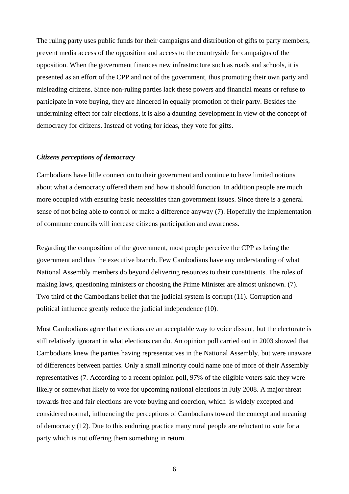The ruling party uses public funds for their campaigns and distribution of gifts to party members, prevent media access of the opposition and access to the countryside for campaigns of the opposition. When the government finances new infrastructure such as roads and schools, it is presented as an effort of the CPP and not of the government, thus promoting their own party and misleading citizens. Since non-ruling parties lack these powers and financial means or refuse to participate in vote buying, they are hindered in equally promotion of their party. Besides the undermining effect for fair elections, it is also a daunting development in view of the concept of democracy for citizens. Instead of voting for ideas, they vote for gifts.

#### *Citizens perceptions of democracy*

Cambodians have little connection to their government and continue to have limited notions about what a democracy offered them and how it should function. In addition people are much more occupied with ensuring basic necessities than government issues. Since there is a general sense of not being able to control or make a difference anyway (7). Hopefully the implementation of commune councils will increase citizens participation and awareness.

Regarding the composition of the government, most people perceive the CPP as being the government and thus the executive branch. Few Cambodians have any understanding of what National Assembly members do beyond delivering resources to their constituents. The roles of making laws, questioning ministers or choosing the Prime Minister are almost unknown. (7). Two third of the Cambodians belief that the judicial system is corrupt (11). Corruption and political influence greatly reduce the judicial independence (10).

Most Cambodians agree that elections are an acceptable way to voice dissent, but the electorate is still relatively ignorant in what elections can do. An opinion poll carried out in 2003 showed that Cambodians knew the parties having representatives in the National Assembly, but were unaware of differences between parties. Only a small minority could name one of more of their Assembly representatives (7. According to a recent opinion poll, 97% of the eligible voters said they were likely or somewhat likely to vote for upcoming national elections in July 2008. A major threat towards free and fair elections are vote buying and coercion, which is widely excepted and considered normal, influencing the perceptions of Cambodians toward the concept and meaning of democracy (12). Due to this enduring practice many rural people are reluctant to vote for a party which is not offering them something in return.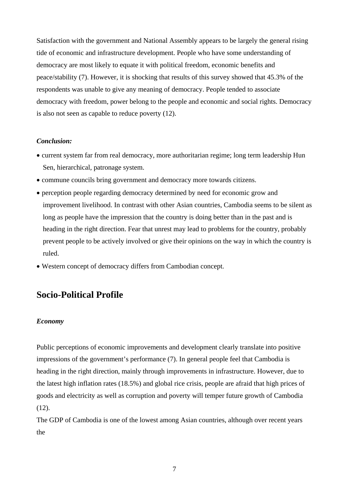Satisfaction with the government and National Assembly appears to be largely the general rising tide of economic and infrastructure development. People who have some understanding of democracy are most likely to equate it with political freedom, economic benefits and peace/stability (7). However, it is shocking that results of this survey showed that 45.3% of the respondents was unable to give any meaning of democracy. People tended to associate democracy with freedom, power belong to the people and economic and social rights. Democracy is also not seen as capable to reduce poverty (12).

#### *Conclusion:*

- current system far from real democracy, more authoritarian regime; long term leadership Hun Sen, hierarchical, patronage system.
- commune councils bring government and democracy more towards citizens.
- perception people regarding democracy determined by need for economic grow and improvement livelihood. In contrast with other Asian countries, Cambodia seems to be silent as long as people have the impression that the country is doing better than in the past and is heading in the right direction. Fear that unrest may lead to problems for the country, probably prevent people to be actively involved or give their opinions on the way in which the country is ruled.
- Western concept of democracy differs from Cambodian concept.

## **Socio-Political Profile**

#### *Economy*

Public perceptions of economic improvements and development clearly translate into positive impressions of the government's performance (7). In general people feel that Cambodia is heading in the right direction, mainly through improvements in infrastructure. However, due to the latest high inflation rates (18.5%) and global rice crisis, people are afraid that high prices of goods and electricity as well as corruption and poverty will temper future growth of Cambodia  $(12)$ .

The GDP of Cambodia is one of the lowest among Asian countries, although over recent years the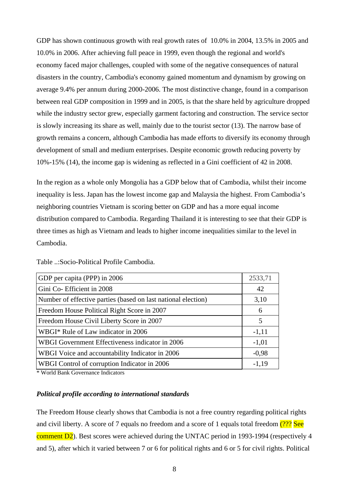GDP has shown continuous growth with real growth rates of 10.0% in 2004, 13.5% in 2005 and 10.0% in 2006. After achieving full peace in 1999, even though the regional and world's economy faced major challenges, coupled with some of the negative consequences of natural disasters in the country, Cambodia's economy gained momentum and dynamism by growing on average 9.4% per annum during 2000-2006. The most distinctive change, found in a comparison between real GDP composition in 1999 and in 2005, is that the share held by agriculture dropped while the industry sector grew, especially garment factoring and construction. The service sector is slowly increasing its share as well, mainly due to the tourist sector (13). The narrow base of growth remains a concern, although Cambodia has made efforts to diversify its economy through development of small and medium enterprises. Despite economic growth reducing poverty by 10%-15% (14), the income gap is widening as reflected in a Gini coefficient of 42 in 2008.

In the region as a whole only Mongolia has a GDP below that of Cambodia, whilst their income inequality is less. Japan has the lowest income gap and Malaysia the highest. From Cambodia's neighboring countries Vietnam is scoring better on GDP and has a more equal income distribution compared to Cambodia. Regarding Thailand it is interesting to see that their GDP is three times as high as Vietnam and leads to higher income inequalities similar to the level in Cambodia.

| GDP per capita (PPP) in 2006                                  | 2533,71 |
|---------------------------------------------------------------|---------|
| Gini Co- Efficient in 2008                                    | 42      |
| Number of effective parties (based on last national election) | 3,10    |
| Freedom House Political Right Score in 2007                   | 6       |
| Freedom House Civil Liberty Score in 2007                     | 5       |
| WBGI* Rule of Law indicator in 2006                           | $-1,11$ |
| WBGI Government Effectiveness indicator in 2006               | $-1,01$ |
| WBGI Voice and accountability Indicator in 2006               | $-0,98$ |
| WBGI Control of corruption Indicator in 2006                  | $-1,19$ |

Table ..:Socio-Political Profile Cambodia.

\* World Bank Governance Indicators

#### *Political profile according to international standards*

The Freedom House clearly shows that Cambodia is not a free country regarding political rights and civil liberty. A score of 7 equals no freedom and a score of 1 equals total freedom  $(???$  See comment D2). Best scores were achieved during the UNTAC period in 1993-1994 (respectively 4 and 5), after which it varied between 7 or 6 for political rights and 6 or 5 for civil rights. Political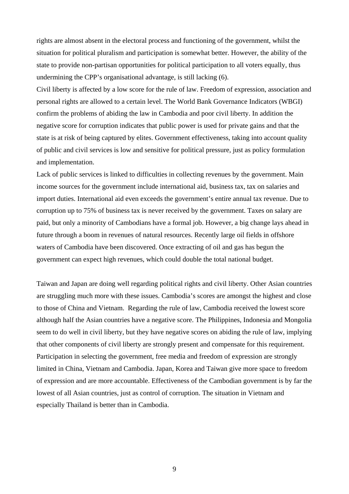rights are almost absent in the electoral process and functioning of the government, whilst the situation for political pluralism and participation is somewhat better. However, the ability of the state to provide non-partisan opportunities for political participation to all voters equally, thus undermining the CPP's organisational advantage, is still lacking (6).

Civil liberty is affected by a low score for the rule of law. Freedom of expression, association and personal rights are allowed to a certain level. The World Bank Governance Indicators (WBGI) confirm the problems of abiding the law in Cambodia and poor civil liberty. In addition the negative score for corruption indicates that public power is used for private gains and that the state is at risk of being captured by elites. Government effectiveness, taking into account quality of public and civil services is low and sensitive for political pressure, just as policy formulation and implementation.

Lack of public services is linked to difficulties in collecting revenues by the government. Main income sources for the government include international aid, business tax, tax on salaries and import duties. International aid even exceeds the government's entire annual tax revenue. Due to corruption up to 75% of business tax is never received by the government. Taxes on salary are paid, but only a minority of Cambodians have a formal job. However, a big change lays ahead in future through a boom in revenues of natural resources. Recently large oil fields in offshore waters of Cambodia have been discovered. Once extracting of oil and gas has begun the government can expect high revenues, which could double the total national budget.

Taiwan and Japan are doing well regarding political rights and civil liberty. Other Asian countries are struggling much more with these issues. Cambodia's scores are amongst the highest and close to those of China and Vietnam. Regarding the rule of law, Cambodia received the lowest score although half the Asian countries have a negative score. The Philippines, Indonesia and Mongolia seem to do well in civil liberty, but they have negative scores on abiding the rule of law, implying that other components of civil liberty are strongly present and compensate for this requirement. Participation in selecting the government, free media and freedom of expression are strongly limited in China, Vietnam and Cambodia. Japan, Korea and Taiwan give more space to freedom of expression and are more accountable. Effectiveness of the Cambodian government is by far the lowest of all Asian countries, just as control of corruption. The situation in Vietnam and especially Thailand is better than in Cambodia.

9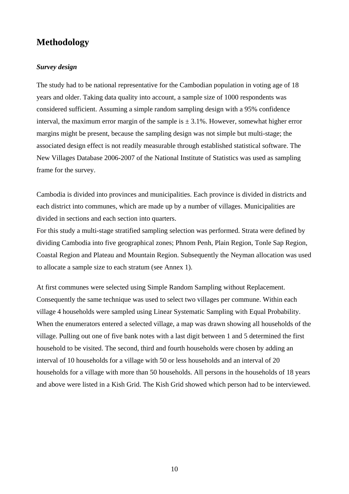## **Methodology**

#### *Survey design*

The study had to be national representative for the Cambodian population in voting age of 18 years and older. Taking data quality into account, a sample size of 1000 respondents was considered sufficient. Assuming a simple random sampling design with a 95% confidence interval, the maximum error margin of the sample is  $\pm$  3.1%. However, somewhat higher error margins might be present, because the sampling design was not simple but multi-stage; the associated design effect is not readily measurable through established statistical software. The New Villages Database 2006-2007 of the National Institute of Statistics was used as sampling frame for the survey.

Cambodia is divided into provinces and municipalities. Each province is divided in districts and each district into communes, which are made up by a number of villages. Municipalities are divided in sections and each section into quarters.

For this study a multi-stage stratified sampling selection was performed. Strata were defined by dividing Cambodia into five geographical zones; Phnom Penh, Plain Region, Tonle Sap Region, Coastal Region and Plateau and Mountain Region. Subsequently the Neyman allocation was used to allocate a sample size to each stratum (see Annex 1).

At first communes were selected using Simple Random Sampling without Replacement. Consequently the same technique was used to select two villages per commune. Within each village 4 households were sampled using Linear Systematic Sampling with Equal Probability. When the enumerators entered a selected village, a map was drawn showing all households of the village. Pulling out one of five bank notes with a last digit between 1 and 5 determined the first household to be visited. The second, third and fourth households were chosen by adding an interval of 10 households for a village with 50 or less households and an interval of 20 households for a village with more than 50 households. All persons in the households of 18 years and above were listed in a Kish Grid. The Kish Grid showed which person had to be interviewed.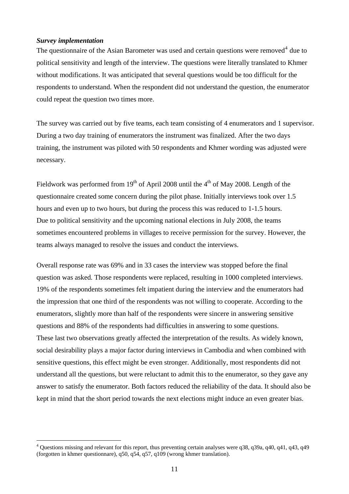#### *Survey implementation*

 $\overline{a}$ 

The questionnaire of the Asian Barometer was used and certain questions were removed<sup>[4](#page-11-0)</sup> due to political sensitivity and length of the interview. The questions were literally translated to Khmer without modifications. It was anticipated that several questions would be too difficult for the respondents to understand. When the respondent did not understand the question, the enumerator could repeat the question two times more.

The survey was carried out by five teams, each team consisting of 4 enumerators and 1 supervisor. During a two day training of enumerators the instrument was finalized. After the two days training, the instrument was piloted with 50 respondents and Khmer wording was adjusted were necessary.

Fieldwork was performed from 19<sup>th</sup> of April 2008 until the  $4<sup>th</sup>$  of May 2008. Length of the questionnaire created some concern during the pilot phase. Initially interviews took over 1.5 hours and even up to two hours, but during the process this was reduced to 1-1.5 hours. Due to political sensitivity and the upcoming national elections in July 2008, the teams sometimes encountered problems in villages to receive permission for the survey. However, the teams always managed to resolve the issues and conduct the interviews.

Overall response rate was 69% and in 33 cases the interview was stopped before the final question was asked. Those respondents were replaced, resulting in 1000 completed interviews. 19% of the respondents sometimes felt impatient during the interview and the enumerators had the impression that one third of the respondents was not willing to cooperate. According to the enumerators, slightly more than half of the respondents were sincere in answering sensitive questions and 88% of the respondents had difficulties in answering to some questions. These last two observations greatly affected the interpretation of the results. As widely known, social desirability plays a major factor during interviews in Cambodia and when combined with sensitive questions, this effect might be even stronger. Additionally, most respondents did not understand all the questions, but were reluctant to admit this to the enumerator, so they gave any answer to satisfy the enumerator. Both factors reduced the reliability of the data. It should also be kept in mind that the short period towards the next elections might induce an even greater bias.

<span id="page-11-0"></span> $4$  Questions missing and relevant for this report, thus preventing certain analyses were q38, q39a, q40, q41, q43, q49 (forgotten in khmer questionnare), q50, q54, q57, q109 (wrong khmer translation).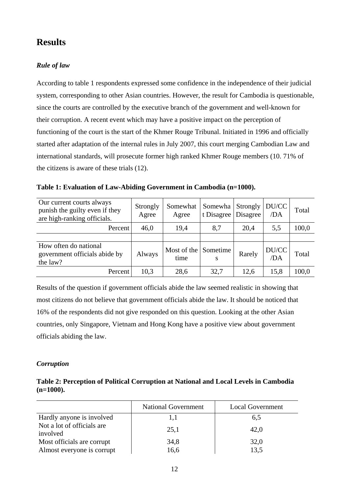## **Results**

#### *Rule of law*

According to table 1 respondents expressed some confidence in the independence of their judicial system, corresponding to other Asian countries. However, the result for Cambodia is questionable, since the courts are controlled by the executive branch of the government and well-known for their corruption. A recent event which may have a positive impact on the perception of functioning of the court is the start of the Khmer Rouge Tribunal. Initiated in 1996 and officially started after adaptation of the internal rules in July 2007, this court merging Cambodian Law and international standards, will prosecute former high ranked Khmer Rouge members (10. 71% of the citizens is aware of these trials (12).

| Our current courts always<br>punish the guilty even if they<br>are high-ranking officials. | Strongly<br>Agree | Somewhat<br>Agree   | Somewha<br>t Disagree   Disagree | Strongly | DU/CC<br>/DA | Total |
|--------------------------------------------------------------------------------------------|-------------------|---------------------|----------------------------------|----------|--------------|-------|
| Percent                                                                                    | 46,0              | 19,4                | 8,7                              | 20,4     | 5,5          | 100,0 |
|                                                                                            |                   |                     |                                  |          |              |       |
| How often do national<br>government officials abide by<br>the law?                         | Always            | Most of the<br>time | Sometime<br>S                    | Rarely   | DU/CC<br>/DA | Total |
| Percent                                                                                    | 10,3              | 28,6                | 32,7                             | 12,6     | 15,8         | 100,0 |

**Table 1: Evaluation of Law-Abiding Government in Cambodia (n=1000).** 

Results of the question if government officials abide the law seemed realistic in showing that most citizens do not believe that government officials abide the law. It should be noticed that 16% of the respondents did not give responded on this question. Looking at the other Asian countries, only Singapore, Vietnam and Hong Kong have a positive view about government officials abiding the law.

#### *Corruption*

**Table 2: Perception of Political Corruption at National and Local Levels in Cambodia (n=1000).** 

|                                        | <b>National Government</b> | <b>Local Government</b> |
|----------------------------------------|----------------------------|-------------------------|
| Hardly anyone is involved              | 1,1                        | 6,5                     |
| Not a lot of officials are<br>involved | 25,1                       | 42,0                    |
| Most officials are corrupt             | 34,8                       | 32,0                    |
| Almost everyone is corrupt             | 16,6                       | 13,5                    |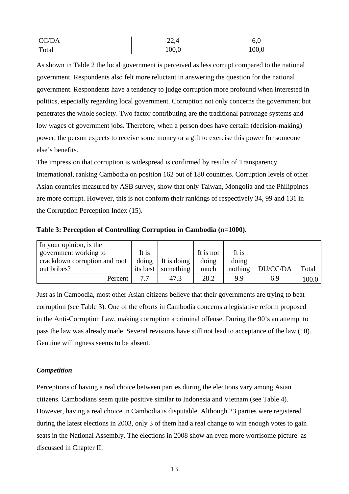| CC/DA | າາ<br>22,1 | o.u   |
|-------|------------|-------|
| Total | 100,0      | 100,0 |

As shown in Table 2 the local government is perceived as less corrupt compared to the national government. Respondents also felt more reluctant in answering the question for the national government. Respondents have a tendency to judge corruption more profound when interested in politics, especially regarding local government. Corruption not only concerns the government but penetrates the whole society. Two factor contributing are the traditional patronage systems and low wages of government jobs. Therefore, when a person does have certain (decision-making) power, the person expects to receive some money or a gift to exercise this power for someone else's benefits.

The impression that corruption is widespread is confirmed by results of Transparency International, ranking Cambodia on position 162 out of 180 countries. Corruption levels of other Asian countries measured by ASB survey, show that only Taiwan, Mongolia and the Philippines are more corrupt. However, this is not conform their rankings of respectively 34, 99 and 131 in the Corruption Perception Index (15).

**Table 3: Perception of Controlling Corruption in Cambodia (n=1000).** 

| In your opinion, is the       |          |             |           |         |          |       |
|-------------------------------|----------|-------------|-----------|---------|----------|-------|
| government working to         | It is    |             | It is not | It is   |          |       |
| crackdown corruption and root | doing    | It is doing | doing     | doing   |          |       |
| out bribes?                   | its best | something   | much      | nothing | DU/CC/DA | Total |
| Percent                       | 7.7      | 47.3        | 28.2      | 9.9     | 6.9      | 100.0 |

Just as in Cambodia, most other Asian citizens believe that their governments are trying to beat corruption (see Table 3). One of the efforts in Cambodia concerns a legislative reform proposed in the Anti-Corruption Law, making corruption a criminal offense. During the 90's an attempt to pass the law was already made. Several revisions have still not lead to acceptance of the law (10). Genuine willingness seems to be absent.

#### *Competition*

Perceptions of having a real choice between parties during the elections vary among Asian citizens. Cambodians seem quite positive similar to Indonesia and Vietnam (see Table 4). However, having a real choice in Cambodia is disputable. Although 23 parties were registered during the latest elections in 2003, only 3 of them had a real change to win enough votes to gain seats in the National Assembly. The elections in 2008 show an even more worrisome picture as discussed in Chapter II.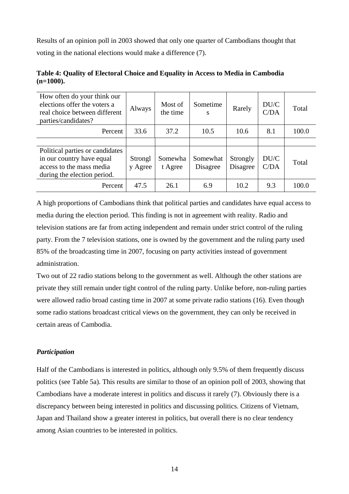Results of an opinion poll in 2003 showed that only one quarter of Cambodians thought that voting in the national elections would make a difference (7).

| How often do your think our<br>elections offer the voters a<br>real choice between different<br>parties/candidates?     | Always             | Most of<br>the time | Sometime<br>S        | Rarely               | DU/C<br>C/DA | Total |
|-------------------------------------------------------------------------------------------------------------------------|--------------------|---------------------|----------------------|----------------------|--------------|-------|
| Percent                                                                                                                 | 33.6               | 37.2                | 10.5                 | 10.6                 | 8.1          | 100.0 |
|                                                                                                                         |                    |                     |                      |                      |              |       |
| Political parties or candidates<br>in our country have equal<br>access to the mass media<br>during the election period. | Strongl<br>y Agree | Somewha<br>t Agree  | Somewhat<br>Disagree | Strongly<br>Disagree | DU/C<br>C/DA | Total |
| Percent                                                                                                                 | 47.5               | 26.1                | 6.9                  | 10.2                 | 9.3          | 100.0 |

#### **Table 4: Quality of Electoral Choice and Equality in Access to Media in Cambodia (n=1000).**

A high proportions of Cambodians think that political parties and candidates have equal access to media during the election period. This finding is not in agreement with reality. Radio and television stations are far from acting independent and remain under strict control of the ruling party. From the 7 television stations, one is owned by the government and the ruling party used 85% of the broadcasting time in 2007, focusing on party activities instead of government administration.

Two out of 22 radio stations belong to the government as well. Although the other stations are private they still remain under tight control of the ruling party. Unlike before, non-ruling parties were allowed radio broad casting time in 2007 at some private radio stations (16). Even though some radio stations broadcast critical views on the government, they can only be received in certain areas of Cambodia.

#### *Participation*

Half of the Cambodians is interested in politics, although only 9.5% of them frequently discuss politics (see Table 5a). This results are similar to those of an opinion poll of 2003, showing that Cambodians have a moderate interest in politics and discuss it rarely (7). Obviously there is a discrepancy between being interested in politics and discussing politics. Citizens of Vietnam, Japan and Thailand show a greater interest in politics, but overall there is no clear tendency among Asian countries to be interested in politics.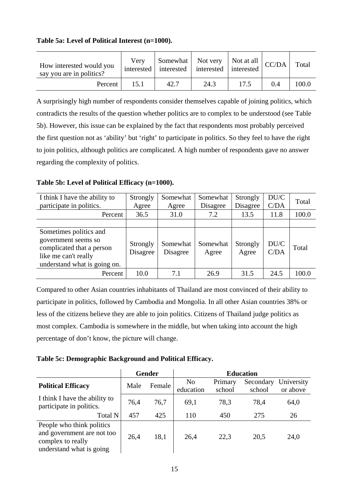#### **Table 5a: Level of Political Interest (n=1000).**

| How interested would you<br>say you are in politics? | Verv<br>interested |      | Somewhat   Not very   Not at all $ $ CC/DA  <br>interested interested interested |      |     | Total |
|------------------------------------------------------|--------------------|------|----------------------------------------------------------------------------------|------|-----|-------|
| Percent                                              | 15.1               | 42.7 | 24.3                                                                             | 17.5 | 0.4 | 100.0 |

A surprisingly high number of respondents consider themselves capable of joining politics, which contradicts the results of the question whether politics are to complex to be understood (see Table 5b). However, this issue can be explained by the fact that respondents most probably perceived the first question not as 'ability' but 'right' to participate in politics. So they feel to have the right to join politics, although politics are complicated. A high number of respondents gave no answer regarding the complexity of politics.

**Table 5b: Level of Political Efficacy (n=1000).** 

| I think I have the ability to<br>participate in politics.                                                                          | Strongly<br>Agree    | Somewhat<br>Agree    | Somewhat<br>Disagree | Strongly<br>Disagree | DU/C<br>C/DA | Total |
|------------------------------------------------------------------------------------------------------------------------------------|----------------------|----------------------|----------------------|----------------------|--------------|-------|
| Percent                                                                                                                            | 36.5                 | 31.0                 | 7.2                  | 13.5                 | 11.8         | 100.0 |
|                                                                                                                                    |                      |                      |                      |                      |              |       |
| Sometimes politics and<br>government seems so<br>complicated that a person<br>like me can't really<br>understand what is going on. | Strongly<br>Disagree | Somewhat<br>Disagree | Somewhat<br>Agree    | Strongly<br>Agree    | DU/C<br>C/DA | Total |
| Percent                                                                                                                            | 10.0                 | 7.1                  | 26.9                 | 31.5                 | 24.5         | 100.0 |

Compared to other Asian countries inhabitants of Thailand are most convinced of their ability to participate in politics, followed by Cambodia and Mongolia. In all other Asian countries 38% or less of the citizens believe they are able to join politics. Citizens of Thailand judge politics as most complex. Cambodia is somewhere in the middle, but when taking into account the high percentage of don't know, the picture will change.

**Table 5c: Demographic Background and Political Efficacy.** 

|                                                                                                          |      | <b>Gender</b> | <b>Education</b>            |                   |                     |                        |  |
|----------------------------------------------------------------------------------------------------------|------|---------------|-----------------------------|-------------------|---------------------|------------------------|--|
| <b>Political Efficacy</b>                                                                                | Male | Female        | N <sub>0</sub><br>education | Primary<br>school | Secondary<br>school | University<br>or above |  |
| I think I have the ability to<br>participate in politics.                                                | 76,4 | 76,7          | 69,1                        | 78,3              | 78,4                | 64,0                   |  |
| Total N                                                                                                  | 457  | 425           | 110                         | 450               | 275                 | 26                     |  |
| People who think politics<br>and government are not too<br>complex to really<br>understand what is going | 26,4 | 18,1          | 26,4                        | 22,3              | 20.5                | 24,0                   |  |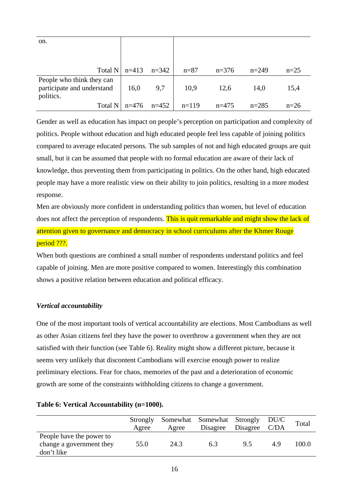| on.                                                                  |         |         |                           |         |           |        |
|----------------------------------------------------------------------|---------|---------|---------------------------|---------|-----------|--------|
| Total N                                                              | $n=413$ | $n=342$ | $n = 87$                  | $n=376$ | $n=249$   | $n=25$ |
| People who think they can<br>participate and understand<br>politics. | 16,0    | 9,7     | 10,9                      | 12,6    | 14,0      | 15,4   |
| Total N                                                              |         |         | $n=476$ $n=452$   $n=119$ | $n=475$ | $n = 285$ | $n=26$ |

Gender as well as education has impact on people's perception on participation and complexity of politics. People without education and high educated people feel less capable of joining politics compared to average educated persons. The sub samples of not and high educated groups are quit small, but it can be assumed that people with no formal education are aware of their lack of knowledge, thus preventing them from participating in politics. On the other hand, high educated people may have a more realistic view on their ability to join politics, resulting in a more modest response.

Men are obviously more confident in understanding politics than women, but level of education does not affect the perception of respondents. This is quit remarkable and might show the lack of attention given to governance and democracy in school curriculums after the Khmer Rouge period ???.

When both questions are combined a small number of respondents understand politics and feel capable of joining. Men are more positive compared to women. Interestingly this combination shows a positive relation between education and political efficacy.

#### *Vertical accountability*

One of the most important tools of vertical accountability are elections. Most Cambodians as well as other Asian citizens feel they have the power to overthrow a government when they are not satisfied with their function (see Table 6). Reality might show a different picture, because it seems very unlikely that discontent Cambodians will exercise enough power to realize preliminary elections. Fear for chaos, memories of the past and a deterioration of economic growth are some of the constraints withholding citizens to change a government.

#### **Table 6: Vertical Accountability (n=1000).**

|                                                                    | Strongly<br>Agree | Agree | Somewhat Somewhat Strongly DU/C<br>Disagree | Disagree C/DA |    | Total |
|--------------------------------------------------------------------|-------------------|-------|---------------------------------------------|---------------|----|-------|
| People have the power to<br>change a government they<br>don't like | 55.0              | 24.3  | 6.3                                         | 9.5           | 49 | 100.0 |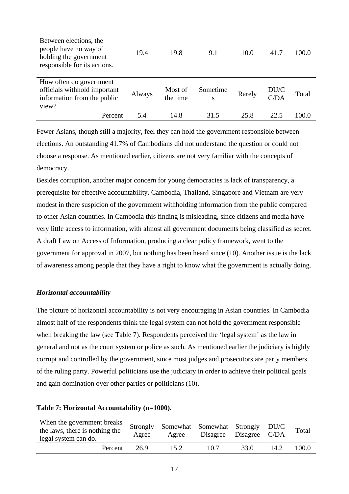| Between elections, the<br>people have no way of<br>holding the government<br>responsible for its actions. | 19.4   | 19.8                | 9.1           | 10.0   | 41.7         | 100.0 |
|-----------------------------------------------------------------------------------------------------------|--------|---------------------|---------------|--------|--------------|-------|
|                                                                                                           |        |                     |               |        |              |       |
| How often do government<br>officials withhold important<br>information from the public<br>view?           | Always | Most of<br>the time | Sometime<br>S | Rarely | DU/C<br>C/DA | Total |
| Percent                                                                                                   | 5.4    | 14.8                | 31.5          | 25.8   | 22.5         | 100.0 |

Fewer Asians, though still a majority, feel they can hold the government responsible between elections. An outstanding 41.7% of Cambodians did not understand the question or could not choose a response. As mentioned earlier, citizens are not very familiar with the concepts of democracy.

Besides corruption, another major concern for young democracies is lack of transparency, a prerequisite for effective accountability. Cambodia, Thailand, Singapore and Vietnam are very modest in there suspicion of the government withholding information from the public compared to other Asian countries. In Cambodia this finding is misleading, since citizens and media have very little access to information, with almost all government documents being classified as secret. A draft Law on Access of Information, producing a clear policy framework, went to the government for approval in 2007, but nothing has been heard since (10). Another issue is the lack of awareness among people that they have a right to know what the government is actually doing.

#### *Horizontal accountability*

The picture of horizontal accountability is not very encouraging in Asian countries. In Cambodia almost half of the respondents think the legal system can not hold the government responsible when breaking the law (see Table 7). Respondents perceived the 'legal system' as the law in general and not as the court system or police as such. As mentioned earlier the judiciary is highly corrupt and controlled by the government, since most judges and prosecutors are party members of the ruling party. Powerful politicians use the judiciary in order to achieve their political goals and gain domination over other parties or politicians (10).

#### **Table 7: Horizontal Accountability (n=1000).**

| When the government breaks<br>the laws, there is nothing the<br>legal system can do. | Strongly<br>Agree | Somewhat Somewhat Strongly DU/C<br>Agree | Disagree Disagree C/DA |      |      | Total |
|--------------------------------------------------------------------------------------|-------------------|------------------------------------------|------------------------|------|------|-------|
| Percent                                                                              | 26.9              | 15.2                                     | 10.7                   | 33.0 | 14.2 | 100.0 |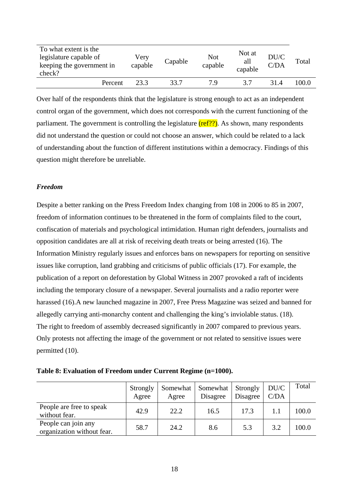| To what extent is the<br>legislature capable of<br>keeping the government in<br>check? | Very<br>capable | Capable | Not<br>capable | Not at<br>all<br>capable | DU/C<br>C/DA | Total |
|----------------------------------------------------------------------------------------|-----------------|---------|----------------|--------------------------|--------------|-------|
| Percent                                                                                | 23.3            | 33.7    | 7 Q            | 37                       | 31.4         | 100.0 |

Over half of the respondents think that the legislature is strong enough to act as an independent control organ of the government, which does not corresponds with the current functioning of the parliament. The government is controlling the legislature  $(ref?)$ . As shown, many respondents did not understand the question or could not choose an answer, which could be related to a lack of understanding about the function of different institutions within a democracy. Findings of this question might therefore be unreliable.

#### *Freedom*

Despite a better ranking on the Press Freedom Index changing from 108 in 2006 to 85 in 2007, freedom of information continues to be threatened in the form of complaints filed to the court, confiscation of materials and psychological intimidation. Human right defenders, journalists and opposition candidates are all at risk of receiving death treats or being arrested (16). The Information Ministry regularly issues and enforces bans on newspapers for reporting on sensitive issues like corruption, land grabbing and criticisms of public officials (17). For example, the publication of a report on deforestation by Global Witness in 2007 provoked a raft of incidents including the temporary closure of a newspaper. Several journalists and a radio reporter were harassed (16).A new launched magazine in 2007, Free Press Magazine was seized and banned for allegedly carrying anti-monarchy content and challenging the king's inviolable status. (18). The right to freedom of assembly decreased significantly in 2007 compared to previous years. Only protests not affecting the image of the government or not related to sensitive issues were permitted (10).

| Table 8: Evaluation of Freedom under Current Regime (n=1000). |  |  |  |  |  |  |  |
|---------------------------------------------------------------|--|--|--|--|--|--|--|
|---------------------------------------------------------------|--|--|--|--|--|--|--|

|                                                   | Strongly<br>Agree | Somewhat<br>Agree | Somewhat<br>Disagree | Strongly<br>Disagree | DU/C<br>C/DA | Total |
|---------------------------------------------------|-------------------|-------------------|----------------------|----------------------|--------------|-------|
| People are free to speak<br>without fear.         | 42.9              | 22.2              | 16.5                 | 17.3                 |              | 100.0 |
| People can join any<br>organization without fear. | 58.7              | 24.2              | 8.6                  | 5.3                  | 3.2          | 100.0 |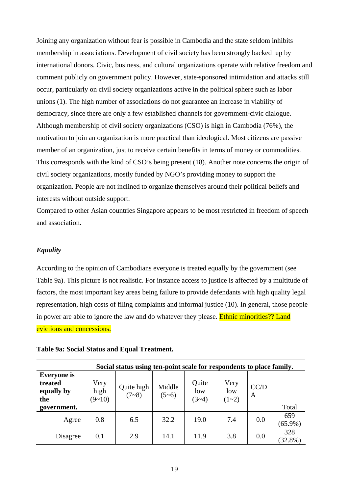Joining any organization without fear is possible in Cambodia and the state seldom inhibits membership in associations. Development of civil society has been strongly backed up by international donors. Civic, business, and cultural organizations operate with relative freedom and comment publicly on government policy. However, state-sponsored intimidation and attacks still occur, particularly on civil society organizations active in the political sphere such as labor unions (1). The high number of associations do not guarantee an increase in viability of democracy, since there are only a few established channels for government-civic dialogue. Although membership of civil society organizations (CSO) is high in Cambodia (76%), the motivation to join an organization is more practical than ideological. Most citizens are passive member of an organization, just to receive certain benefits in terms of money or commodities. This corresponds with the kind of CSO's being present (18). Another note concerns the origin of civil society organizations, mostly funded by NGO's providing money to support the organization. People are not inclined to organize themselves around their political beliefs and interests without outside support.

Compared to other Asian countries Singapore appears to be most restricted in freedom of speech and association.

#### *Equality*

According to the opinion of Cambodians everyone is treated equally by the government (see Table 9a). This picture is not realistic. For instance access to justice is affected by a multitude of factors, the most important key areas being failure to provide defendants with high quality legal representation, high costs of filing complaints and informal justice (10). In general, those people in power are able to ignore the law and do whatever they please. **Ethnic minorities??** Land evictions and concessions.

|  | <u>CVICHOIIS ANU CONCESSIONS.</u> |
|--|-----------------------------------|
|  |                                   |

|                                                                   |                          | Social status using ten-point scale for respondents to place family. |                   |                         |                        |                      |                   |
|-------------------------------------------------------------------|--------------------------|----------------------------------------------------------------------|-------------------|-------------------------|------------------------|----------------------|-------------------|
| <b>Everyone</b> is<br>treated<br>equally by<br>the<br>government. | Very<br>high<br>$(9-10)$ | Quite high<br>$(7 - 8)$                                              | Middle<br>$(5-6)$ | Quite<br>low<br>$(3-4)$ | Very<br>low<br>$(1-2)$ | CC/D<br>$\mathbf{A}$ | Total             |
| Agree                                                             | 0.8                      | 6.5                                                                  | 32.2              | 19.0                    | 7.4                    | 0.0                  | 659<br>$(65.9\%)$ |
| Disagree                                                          | 0.1                      | 2.9                                                                  | 14.1              | 11.9                    | 3.8                    | 0.0                  | 328<br>$(32.8\%)$ |

#### **Table 9a: Social Status and Equal Treatment.**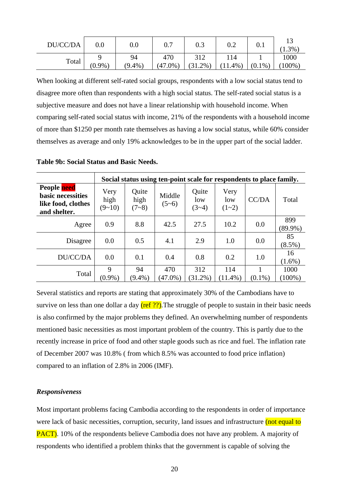| DU/CC/DA | $0.0\,$   | 0.0         | 0.7                  | $0.3\,$           | 0.2             | 0.1       | $(1.3\%)$        |
|----------|-----------|-------------|----------------------|-------------------|-----------------|-----------|------------------|
| Total    | $(0.9\%)$ | 94<br>(9.4% | 470<br>(47)<br>$0\%$ | 312<br>$(31.2\%)$ | 114<br>$11.4\%$ | $(0.1\%)$ | 1000<br>$ 00\% $ |

When looking at different self-rated social groups, respondents with a low social status tend to disagree more often than respondents with a high social status. The self-rated social status is a subjective measure and does not have a linear relationship with household income. When comparing self-rated social status with income, 21% of the respondents with a household income of more than \$1250 per month rate themselves as having a low social status, while 60% consider themselves as average and only 19% acknowledges to be in the upper part of the social ladder.

**Table 9b: Social Status and Basic Needs.** 

|                                                                               |                          | Social status using ten-point scale for respondents to place family. |                   |                         |                        |                |                   |  |  |  |
|-------------------------------------------------------------------------------|--------------------------|----------------------------------------------------------------------|-------------------|-------------------------|------------------------|----------------|-------------------|--|--|--|
| People need<br><b>basic necessities</b><br>like food, clothes<br>and shelter. | Very<br>high<br>$(9-10)$ | Quite<br>high<br>$(7 - 8)$                                           | Middle<br>$(5-6)$ | Quite<br>low<br>$(3-4)$ | Very<br>low<br>$(1-2)$ | CC/DA          | Total             |  |  |  |
| Agree                                                                         | 0.9                      | 8.8                                                                  | 42.5              | 27.5                    | 10.2                   | 0.0            | 899<br>$(89.9\%)$ |  |  |  |
| Disagree                                                                      | 0.0                      | 0.5                                                                  | 4.1               | 2.9                     | 1.0                    | 0.0            | 85<br>$(8.5\%)$   |  |  |  |
| DU/CC/DA                                                                      | 0.0                      | 0.1                                                                  | 0.4               | 0.8                     | 0.2                    | 1.0            | 16<br>$(1.6\%)$   |  |  |  |
| Total                                                                         | 9<br>$(0.9\%)$           | 94<br>$(9.4\%)$                                                      | 470<br>$(47.0\%)$ | 312<br>$(31.2\%)$       | 114<br>$(11.4\%)$      | 1<br>$(0.1\%)$ | 1000<br>$(100\%)$ |  |  |  |

Several statistics and reports are stating that approximately 30% of the Cambodians have to survive on less than one dollar a day  $(\text{ref ?}?)$ . The struggle of people to sustain in their basic needs is also confirmed by the major problems they defined. An overwhelming number of respondents mentioned basic necessities as most important problem of the country. This is partly due to the recently increase in price of food and other staple goods such as rice and fuel. The inflation rate of December 2007 was 10.8% ( from which 8.5% was accounted to food price inflation) compared to an inflation of 2.8% in 2006 (IMF).

#### *Responsiveness*

Most important problems facing Cambodia according to the respondents in order of importance were lack of basic necessities, corruption, security, land issues and infrastructure (not equal to PACT). 10% of the respondents believe Cambodia does not have any problem. A majority of respondents who identified a problem thinks that the government is capable of solving the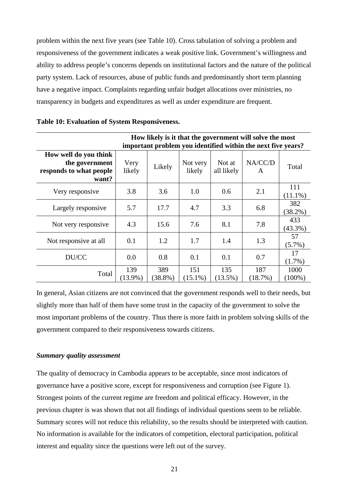problem within the next five years (see Table 10). Cross tabulation of solving a problem and responsiveness of the government indicates a weak positive link. Government's willingness and ability to address people's concerns depends on institutional factors and the nature of the political party system. Lack of resources, abuse of public funds and predominantly short term planning have a negative impact. Complaints regarding unfair budget allocations over ministries, no transparency in budgets and expenditures as well as under expenditure are frequent.

|                                                                             |                   |                |                    |                      | How likely is it that the government will solve the most     |                   |
|-----------------------------------------------------------------------------|-------------------|----------------|--------------------|----------------------|--------------------------------------------------------------|-------------------|
|                                                                             |                   |                |                    |                      | important problem you identified within the next five years? |                   |
| How well do you think<br>the government<br>responds to what people<br>want? | Very<br>likely    | Likely         | Not very<br>likely | Not at<br>all likely | NA/CC/D<br>A                                                 | Total             |
| Very responsive                                                             | 3.8               | 3.6            | 1.0                | 0.6                  | 2.1                                                          | 111<br>$(11.1\%)$ |
| Largely responsive                                                          | 5.7               | 17.7           | 4.7                | 3.3                  | 6.8                                                          | 382<br>$(38.2\%)$ |
| Not very responsive.                                                        | 4.3               | 15.6           | 7.6                | 8.1                  | 7.8                                                          | 433<br>$(43.3\%)$ |
| Not responsive at all                                                       | 0.1               | 1.2            | 1.7                | 1.4                  | 1.3                                                          | 57<br>$(5.7\%)$   |
| DU/CC                                                                       | 0.0               | 0.8            | 0.1                | 0.1                  | 0.7                                                          | 17<br>$(1.7\%)$   |
| Total                                                                       | 139<br>$(13.9\%)$ | 389<br>(38.8%) | 151<br>$(15.1\%)$  | 135<br>$(13.5\%)$    | 187<br>(18.7%)                                               | 1000<br>(100%)    |

**Table 10: Evaluation of System Responsiveness.** 

In general, Asian citizens are not convinced that the government responds well to their needs, but slightly more than half of them have some trust in the capacity of the government to solve the most important problems of the country. Thus there is more faith in problem solving skills of the government compared to their responsiveness towards citizens.

#### *Summary quality assessment*

The quality of democracy in Cambodia appears to be acceptable, since most indicators of governance have a positive score, except for responsiveness and corruption (see Figure 1). Strongest points of the current regime are freedom and political efficacy. However, in the previous chapter is was shown that not all findings of individual questions seem to be reliable. Summary scores will not reduce this reliability, so the results should be interpreted with caution. No information is available for the indicators of competition, electoral participation, political interest and equality since the questions were left out of the survey.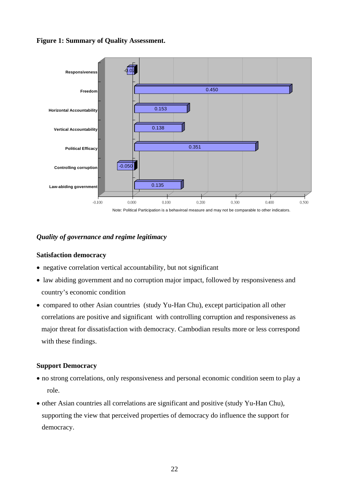#### **Figure 1: Summary of Quality Assessment.**



#### *Quality of governance and regime legitimacy*

#### **Satisfaction democracy**

- negative correlation vertical accountability, but not significant
- law abiding government and no corruption major impact, followed by responsiveness and country's economic condition
- compared to other Asian countries (study Yu-Han Chu), except participation all other correlations are positive and significant with controlling corruption and responsiveness as major threat for dissatisfaction with democracy. Cambodian results more or less correspond with these findings.

#### **Support Democracy**

- no strong correlations, only responsiveness and personal economic condition seem to play a role.
- other Asian countries all correlations are significant and positive (study Yu-Han Chu), supporting the view that perceived properties of democracy do influence the support for democracy.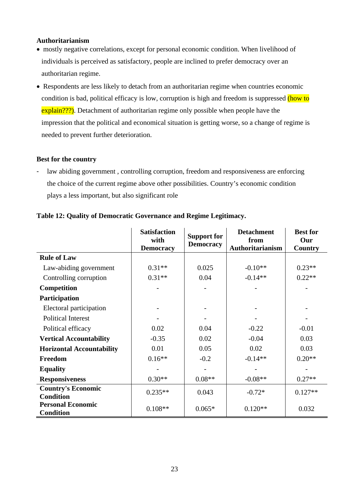#### **Authoritarianism**

- mostly negative correlations, except for personal economic condition. When livelihood of individuals is perceived as satisfactory, people are inclined to prefer democracy over an authoritarian regime.
- Respondents are less likely to detach from an authoritarian regime when countries economic condition is bad, political efficacy is low, corruption is high and freedom is suppressed (how to explain???). Detachment of authoritarian regime only possible when people have the impression that the political and economical situation is getting worse, so a change of regime is needed to prevent further deterioration.

#### **Best for the country**

law abiding government, controlling corruption, freedom and responsiveness are enforcing the choice of the current regime above other possibilities. Country's economic condition plays a less important, but also significant role

|                                               | <b>Satisfaction</b><br>with<br><b>Democracy</b> | <b>Support for</b><br><b>Democracy</b> | <b>Detachment</b><br>from<br><b>Authoritarianism</b> | <b>Best for</b><br>Our<br>Country |
|-----------------------------------------------|-------------------------------------------------|----------------------------------------|------------------------------------------------------|-----------------------------------|
| <b>Rule of Law</b>                            |                                                 |                                        |                                                      |                                   |
| Law-abiding government                        | $0.31**$                                        | 0.025                                  | $-0.10**$                                            | $0.23**$                          |
| Controlling corruption                        | $0.31**$                                        | 0.04                                   | $-0.14**$                                            | $0.22**$                          |
| Competition                                   |                                                 |                                        |                                                      |                                   |
| Participation                                 |                                                 |                                        |                                                      |                                   |
| Electoral participation                       |                                                 |                                        |                                                      |                                   |
| <b>Political Interest</b>                     |                                                 |                                        |                                                      |                                   |
| Political efficacy                            | 0.02                                            | 0.04                                   | $-0.22$                                              | $-0.01$                           |
| <b>Vertical Accountability</b>                | $-0.35$                                         | 0.02                                   | $-0.04$                                              | 0.03                              |
| <b>Horizontal Accountability</b>              | 0.01                                            | 0.05                                   | 0.02                                                 | 0.03                              |
| Freedom                                       | $0.16**$                                        | $-0.2$                                 | $-0.14**$                                            | $0.20**$                          |
| <b>Equality</b>                               |                                                 |                                        |                                                      |                                   |
| <b>Responsiveness</b>                         | $0.30**$                                        | $0.08**$                               | $-0.08**$                                            | $0.27**$                          |
| <b>Country's Economic</b><br><b>Condition</b> | $0.235**$                                       | 0.043                                  | $-0.72*$                                             | $0.127**$                         |
| <b>Personal Economic</b><br><b>Condition</b>  | $0.108**$                                       | $0.065*$                               | $0.120**$                                            | 0.032                             |

#### **Table 12: Quality of Democratic Governance and Regime Legitimacy.**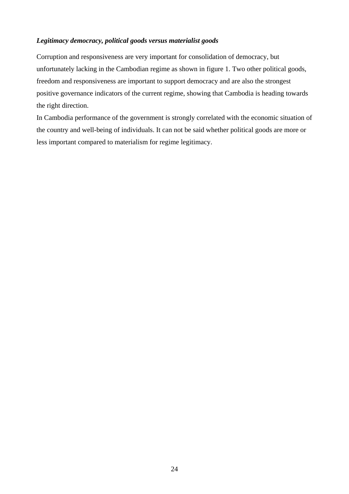#### *Legitimacy democracy, political goods versus materialist goods*

Corruption and responsiveness are very important for consolidation of democracy, but unfortunately lacking in the Cambodian regime as shown in figure 1. Two other political goods, freedom and responsiveness are important to support democracy and are also the strongest positive governance indicators of the current regime, showing that Cambodia is heading towards the right direction.

In Cambodia performance of the government is strongly correlated with the economic situation of the country and well-being of individuals. It can not be said whether political goods are more or less important compared to materialism for regime legitimacy.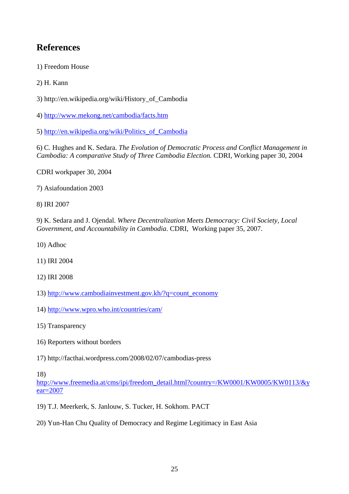## **References**

1) Freedom House

2) H. Kann

3) [http://en.wikipedia.org/wiki/History\\_of\\_Cambodia](http://en.wikipedia.org/wiki/History_of_Cambodia)

4)<http://www.mekong.net/cambodia/facts.htm>

5) [http://en.wikipedia.org/wiki/Politics\\_of\\_Cambodia](http://en.wikipedia.org/wiki/Politics_of_Cambodia)

6) C. Hughes and K. Sedara. *The Evolution of Democratic Process and Conflict Management in Cambodia: A comparative Study of Three Cambodia Election.* CDRI, Working paper 30, 2004

CDRI workpaper 30, 2004

7) Asiafoundation 2003

8) IRI 2007

9) K. Sedara and J. Ojendal. *Where Decentralization Meets Democracy: Civil Society, Local Government, and Accountability in Cambodia*. CDRI, Working paper 35, 2007.

10) Adhoc

11) IRI 2004

12) IRI 2008

- 13) [http://www.cambodiainvestment.gov.kh/?q=count\\_economy](http://www.cambodiainvestment.gov.kh/?q=count_economy)
- 14)<http://www.wpro.who.int/countries/cam/>

15) Transparency

- 16) Reporters without borders
- 17)<http://facthai.wordpress.com/2008/02/07/cambodias-press>

18)

[http://www.freemedia.at/cms/ipi/freedom\\_detail.html?country=/KW0001/KW0005/KW0113/&y](http://www.freemedia.at/cms/ipi/freedom_detail.html?country=/KW0001/KW0005/KW0113/&year=2007) [ear=2007](http://www.freemedia.at/cms/ipi/freedom_detail.html?country=/KW0001/KW0005/KW0113/&year=2007)

19) T.J. Meerkerk, S. Janlouw, S. Tucker, H. Sokhom. PACT

20) Yun-Han Chu Quality of Democracy and Regime Legitimacy in East Asia